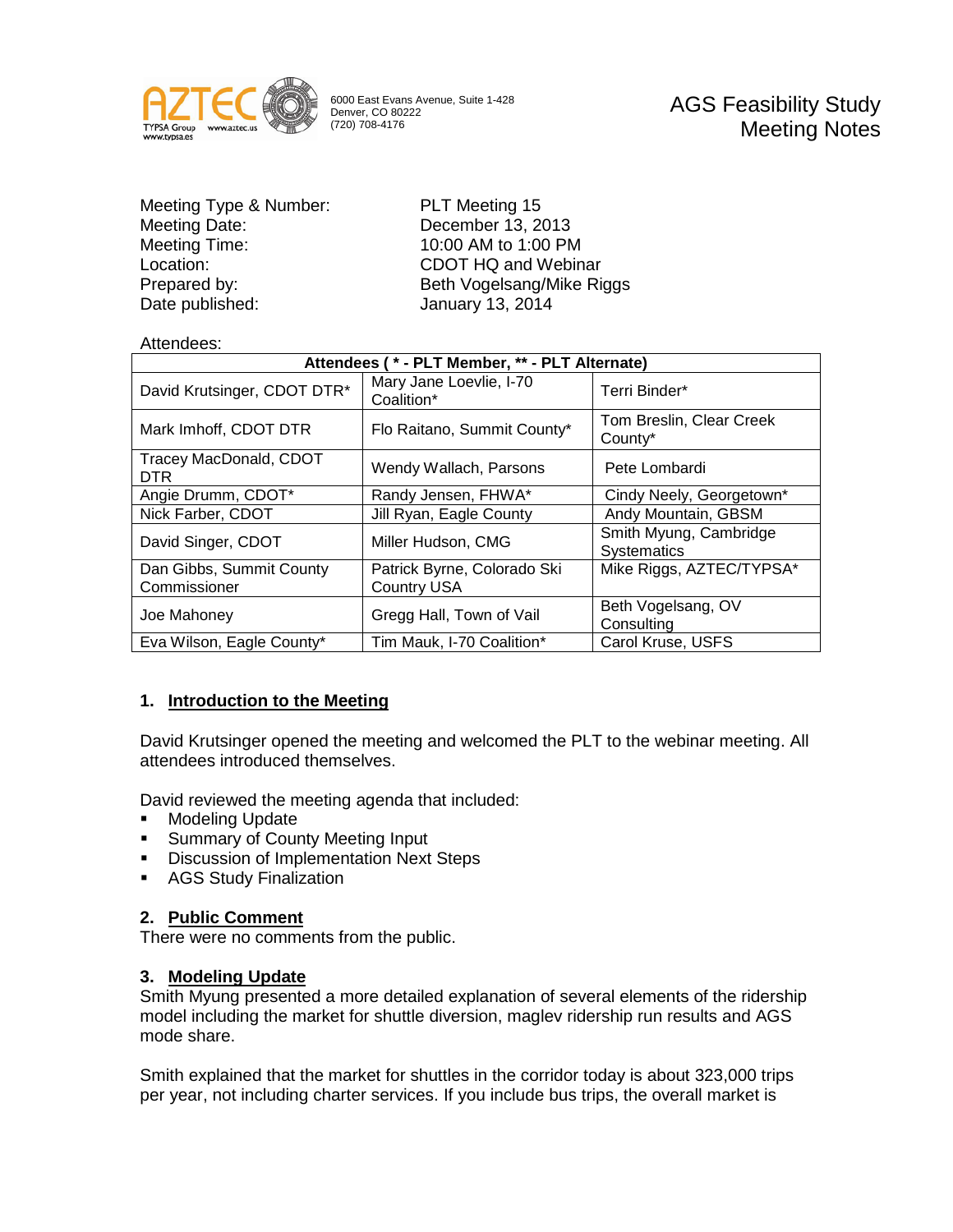

6000 East Evans Avenue, Suite 1-428 Denver, CO 80222 (720) 708-4176

AGS Feasibility Study Meeting Notes

Meeting Type & Number: PLT Meeting 15<br>
Meeting Date: December 13, 20 Meeting Time: 10:00 AM to 1:00 PM Location: CDOT HQ and Webinar Date published: January 13, 2014

December 13, 2013 Prepared by: Beth Vogelsang/Mike Riggs

### Attendees:

| Attendees (* - PLT Member, ** - PLT Alternate) |                                                   |                                              |
|------------------------------------------------|---------------------------------------------------|----------------------------------------------|
| David Krutsinger, CDOT DTR*                    | Mary Jane Loevlie, I-70<br>Coalition*             | Terri Binder*                                |
| Mark Imhoff, CDOT DTR                          | Flo Raitano, Summit County*                       | Tom Breslin, Clear Creek<br>County*          |
| Tracey MacDonald, CDOT<br><b>DTR</b>           | Wendy Wallach, Parsons                            | Pete Lombardi                                |
| Angie Drumm, CDOT*                             | Randy Jensen, FHWA*                               | Cindy Neely, Georgetown*                     |
| Nick Farber, CDOT                              | Jill Ryan, Eagle County                           | Andy Mountain, GBSM                          |
| David Singer, CDOT                             | Miller Hudson, CMG                                | Smith Myung, Cambridge<br><b>Systematics</b> |
| Dan Gibbs, Summit County<br>Commissioner       | Patrick Byrne, Colorado Ski<br><b>Country USA</b> | Mike Riggs, AZTEC/TYPSA*                     |
| Joe Mahoney                                    | Gregg Hall, Town of Vail                          | Beth Vogelsang, OV<br>Consulting             |
| Eva Wilson, Eagle County*                      | Tim Mauk, I-70 Coalition*                         | Carol Kruse, USFS                            |

# **1. Introduction to the Meeting**

David Krutsinger opened the meeting and welcomed the PLT to the webinar meeting. All attendees introduced themselves.

David reviewed the meeting agenda that included:

- **Modeling Update**
- **Summary of County Meeting Input**
- **Discussion of Implementation Next Steps**
- **AGS Study Finalization**

### **2. Public Comment**

There were no comments from the public.

### **3. Modeling Update**

Smith Myung presented a more detailed explanation of several elements of the ridership model including the market for shuttle diversion, maglev ridership run results and AGS mode share.

Smith explained that the market for shuttles in the corridor today is about 323,000 trips per year, not including charter services. If you include bus trips, the overall market is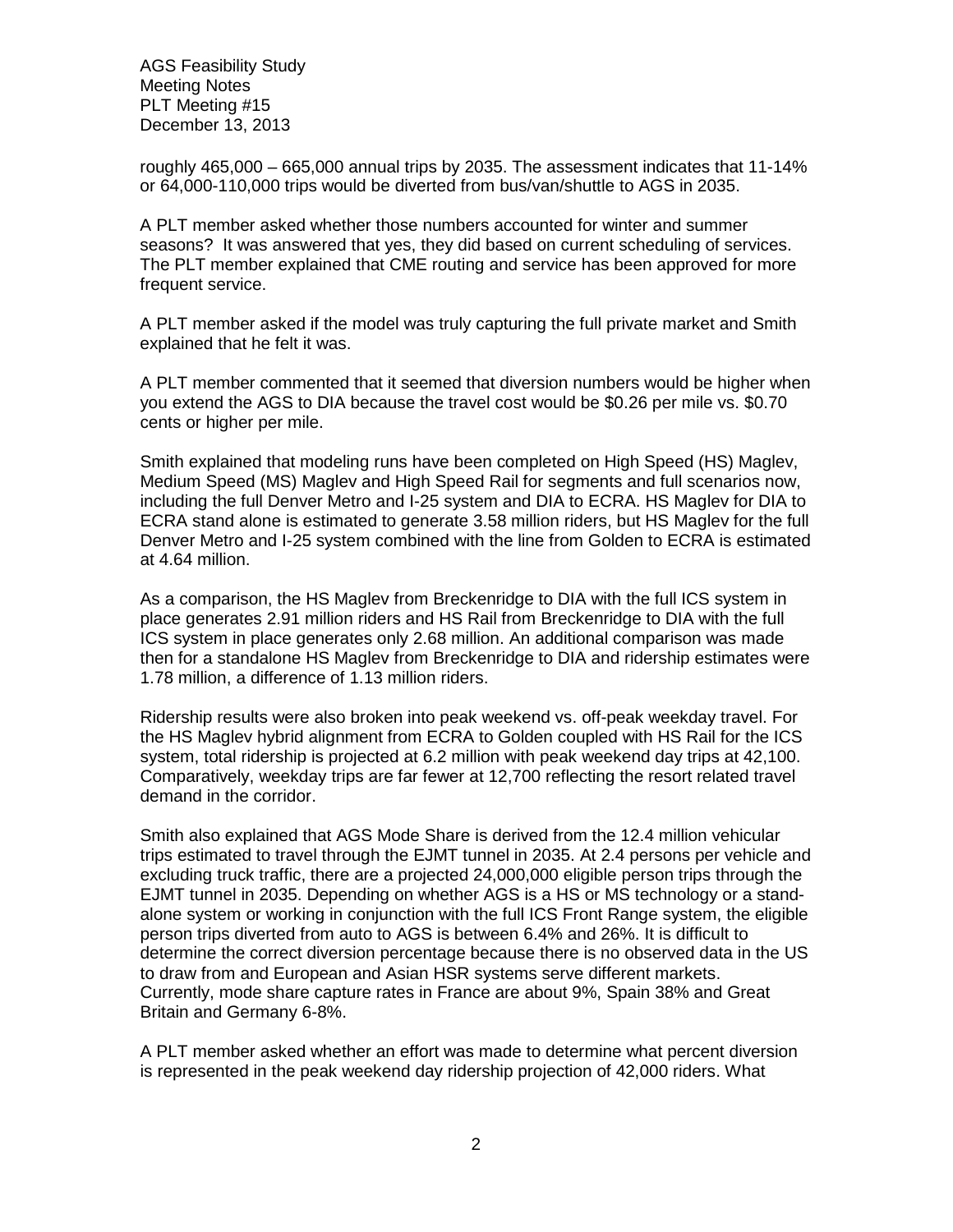roughly 465,000 – 665,000 annual trips by 2035. The assessment indicates that 11-14% or 64,000-110,000 trips would be diverted from bus/van/shuttle to AGS in 2035.

A PLT member asked whether those numbers accounted for winter and summer seasons? It was answered that yes, they did based on current scheduling of services. The PLT member explained that CME routing and service has been approved for more frequent service.

A PLT member asked if the model was truly capturing the full private market and Smith explained that he felt it was.

A PLT member commented that it seemed that diversion numbers would be higher when you extend the AGS to DIA because the travel cost would be \$0.26 per mile vs. \$0.70 cents or higher per mile.

Smith explained that modeling runs have been completed on High Speed (HS) Maglev, Medium Speed (MS) Maglev and High Speed Rail for segments and full scenarios now, including the full Denver Metro and I-25 system and DIA to ECRA. HS Maglev for DIA to ECRA stand alone is estimated to generate 3.58 million riders, but HS Maglev for the full Denver Metro and I-25 system combined with the line from Golden to ECRA is estimated at 4.64 million.

As a comparison, the HS Maglev from Breckenridge to DIA with the full ICS system in place generates 2.91 million riders and HS Rail from Breckenridge to DIA with the full ICS system in place generates only 2.68 million. An additional comparison was made then for a standalone HS Maglev from Breckenridge to DIA and ridership estimates were 1.78 million, a difference of 1.13 million riders.

Ridership results were also broken into peak weekend vs. off-peak weekday travel. For the HS Maglev hybrid alignment from ECRA to Golden coupled with HS Rail for the ICS system, total ridership is projected at 6.2 million with peak weekend day trips at 42,100. Comparatively, weekday trips are far fewer at 12,700 reflecting the resort related travel demand in the corridor.

Smith also explained that AGS Mode Share is derived from the 12.4 million vehicular trips estimated to travel through the EJMT tunnel in 2035. At 2.4 persons per vehicle and excluding truck traffic, there are a projected 24,000,000 eligible person trips through the EJMT tunnel in 2035. Depending on whether AGS is a HS or MS technology or a standalone system or working in conjunction with the full ICS Front Range system, the eligible person trips diverted from auto to AGS is between 6.4% and 26%. It is difficult to determine the correct diversion percentage because there is no observed data in the US to draw from and European and Asian HSR systems serve different markets. Currently, mode share capture rates in France are about 9%, Spain 38% and Great Britain and Germany 6-8%.

A PLT member asked whether an effort was made to determine what percent diversion is represented in the peak weekend day ridership projection of 42,000 riders. What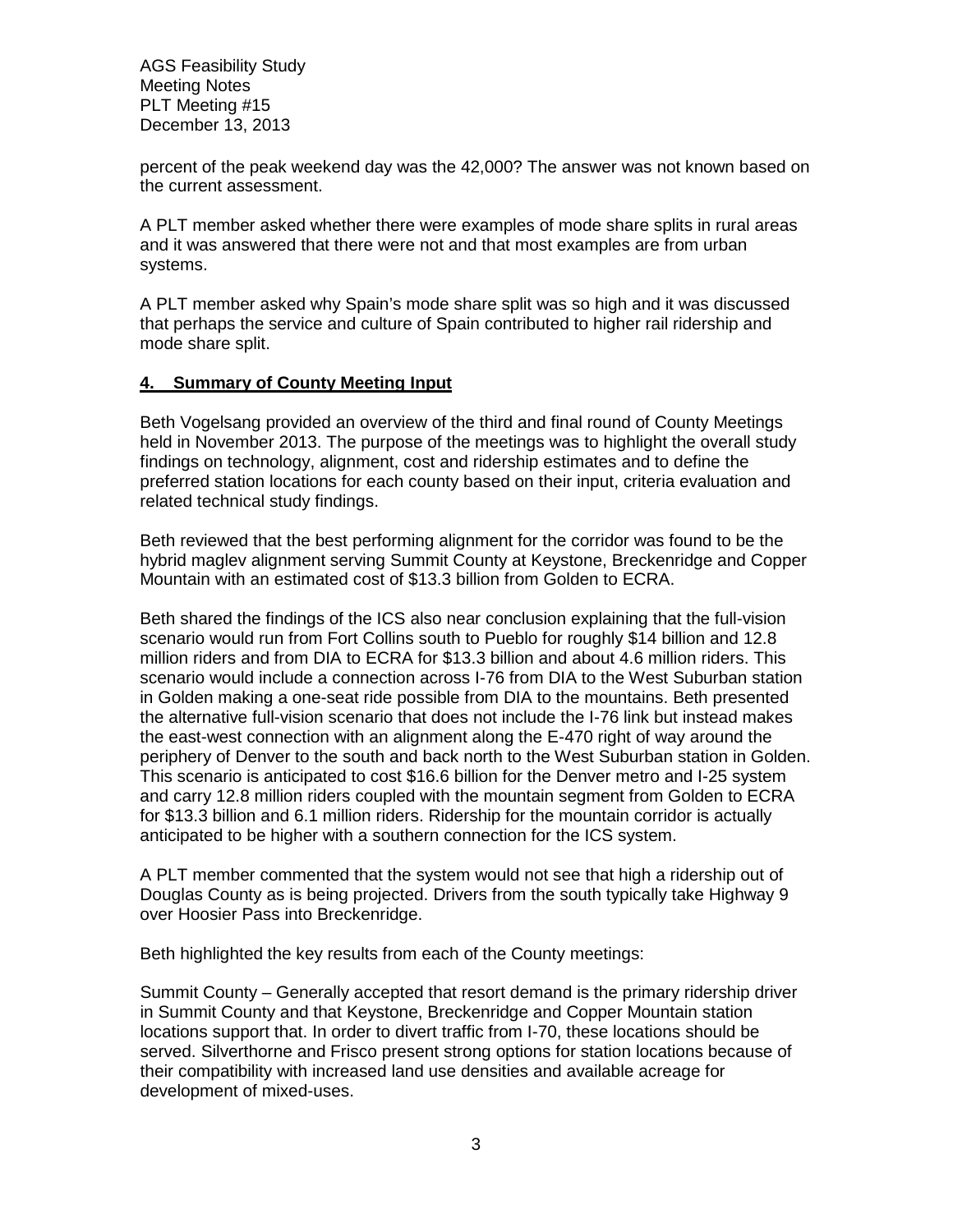percent of the peak weekend day was the 42,000? The answer was not known based on the current assessment.

A PLT member asked whether there were examples of mode share splits in rural areas and it was answered that there were not and that most examples are from urban systems.

A PLT member asked why Spain's mode share split was so high and it was discussed that perhaps the service and culture of Spain contributed to higher rail ridership and mode share split.

### **4. Summary of County Meeting Input**

Beth Vogelsang provided an overview of the third and final round of County Meetings held in November 2013. The purpose of the meetings was to highlight the overall study findings on technology, alignment, cost and ridership estimates and to define the preferred station locations for each county based on their input, criteria evaluation and related technical study findings.

Beth reviewed that the best performing alignment for the corridor was found to be the hybrid maglev alignment serving Summit County at Keystone, Breckenridge and Copper Mountain with an estimated cost of \$13.3 billion from Golden to ECRA.

Beth shared the findings of the ICS also near conclusion explaining that the full-vision scenario would run from Fort Collins south to Pueblo for roughly \$14 billion and 12.8 million riders and from DIA to ECRA for \$13.3 billion and about 4.6 million riders. This scenario would include a connection across I-76 from DIA to the West Suburban station in Golden making a one-seat ride possible from DIA to the mountains. Beth presented the alternative full-vision scenario that does not include the I-76 link but instead makes the east-west connection with an alignment along the E-470 right of way around the periphery of Denver to the south and back north to the West Suburban station in Golden. This scenario is anticipated to cost \$16.6 billion for the Denver metro and I-25 system and carry 12.8 million riders coupled with the mountain segment from Golden to ECRA for \$13.3 billion and 6.1 million riders. Ridership for the mountain corridor is actually anticipated to be higher with a southern connection for the ICS system.

A PLT member commented that the system would not see that high a ridership out of Douglas County as is being projected. Drivers from the south typically take Highway 9 over Hoosier Pass into Breckenridge.

Beth highlighted the key results from each of the County meetings:

Summit County – Generally accepted that resort demand is the primary ridership driver in Summit County and that Keystone, Breckenridge and Copper Mountain station locations support that. In order to divert traffic from I-70, these locations should be served. Silverthorne and Frisco present strong options for station locations because of their compatibility with increased land use densities and available acreage for development of mixed-uses.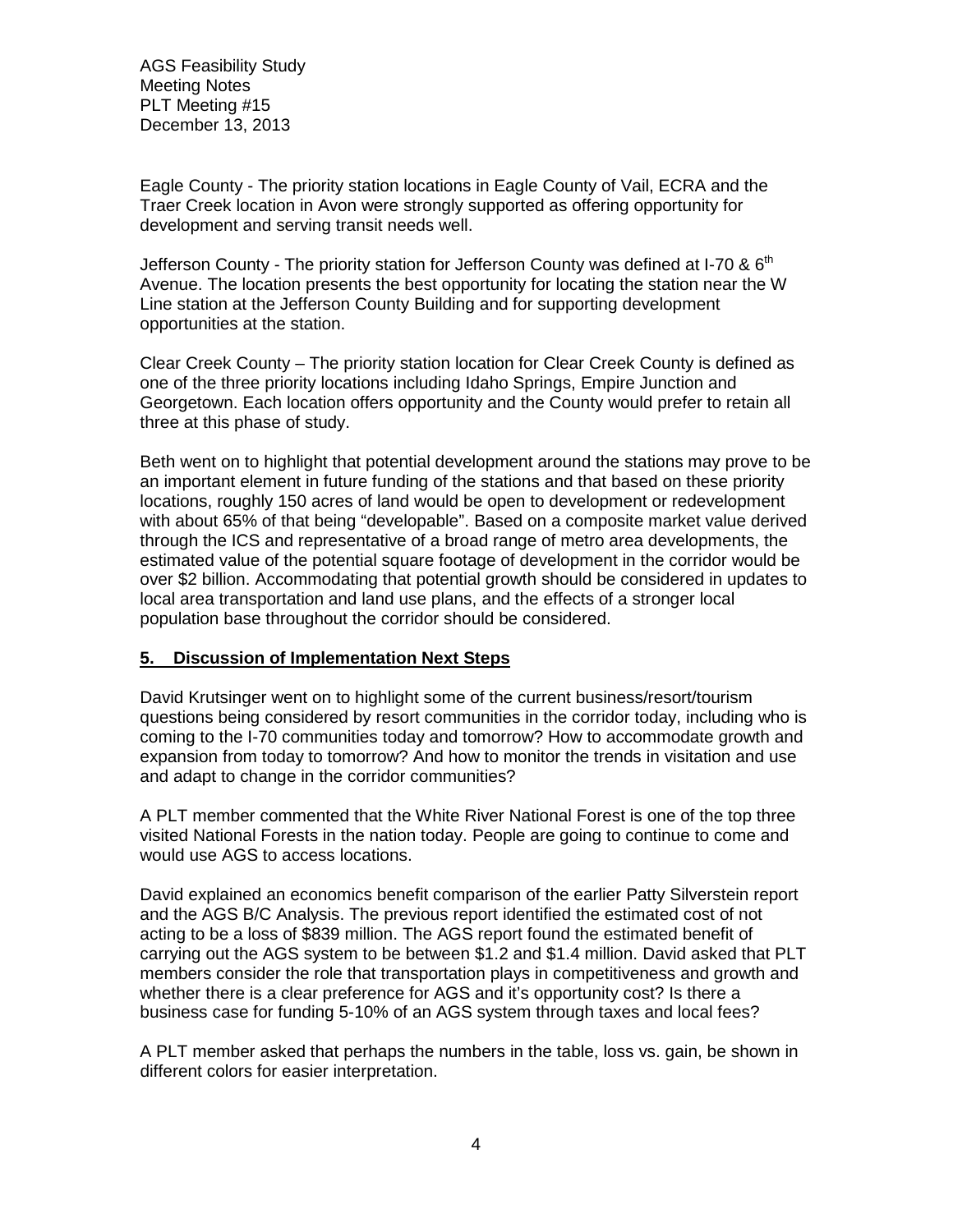Eagle County - The priority station locations in Eagle County of Vail, ECRA and the Traer Creek location in Avon were strongly supported as offering opportunity for development and serving transit needs well.

Jefferson County - The priority station for Jefferson County was defined at I-70 &  $6<sup>th</sup>$ Avenue. The location presents the best opportunity for locating the station near the W Line station at the Jefferson County Building and for supporting development opportunities at the station.

Clear Creek County – The priority station location for Clear Creek County is defined as one of the three priority locations including Idaho Springs, Empire Junction and Georgetown. Each location offers opportunity and the County would prefer to retain all three at this phase of study.

Beth went on to highlight that potential development around the stations may prove to be an important element in future funding of the stations and that based on these priority locations, roughly 150 acres of land would be open to development or redevelopment with about 65% of that being "developable". Based on a composite market value derived through the ICS and representative of a broad range of metro area developments, the estimated value of the potential square footage of development in the corridor would be over \$2 billion. Accommodating that potential growth should be considered in updates to local area transportation and land use plans, and the effects of a stronger local population base throughout the corridor should be considered.

# **5. Discussion of Implementation Next Steps**

David Krutsinger went on to highlight some of the current business/resort/tourism questions being considered by resort communities in the corridor today, including who is coming to the I-70 communities today and tomorrow? How to accommodate growth and expansion from today to tomorrow? And how to monitor the trends in visitation and use and adapt to change in the corridor communities?

A PLT member commented that the White River National Forest is one of the top three visited National Forests in the nation today. People are going to continue to come and would use AGS to access locations.

David explained an economics benefit comparison of the earlier Patty Silverstein report and the AGS B/C Analysis. The previous report identified the estimated cost of not acting to be a loss of \$839 million. The AGS report found the estimated benefit of carrying out the AGS system to be between \$1.2 and \$1.4 million. David asked that PLT members consider the role that transportation plays in competitiveness and growth and whether there is a clear preference for AGS and it's opportunity cost? Is there a business case for funding 5-10% of an AGS system through taxes and local fees?

A PLT member asked that perhaps the numbers in the table, loss vs. gain, be shown in different colors for easier interpretation.